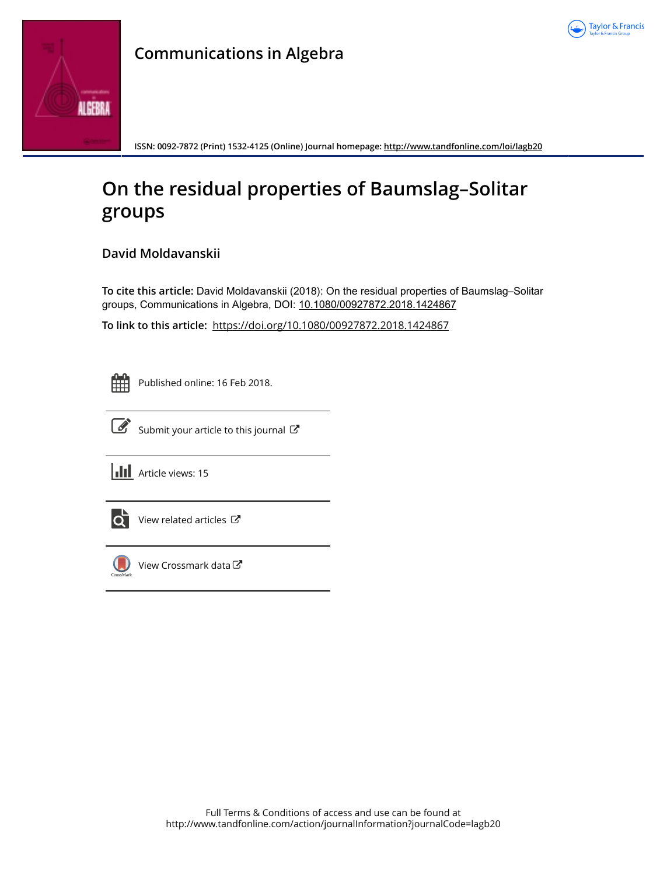



## **Communications in Algebra**

**ISSN: 0092-7872 (Print) 1532-4125 (Online) Journal homepage:<http://www.tandfonline.com/loi/lagb20>**

# **On the residual properties of Baumslag–Solitar groups**

**David Moldavanskii**

**To cite this article:** David Moldavanskii (2018): On the residual properties of Baumslag–Solitar groups, Communications in Algebra, DOI: [10.1080/00927872.2018.1424867](http://www.tandfonline.com/action/showCitFormats?doi=10.1080/00927872.2018.1424867)

**To link to this article:** <https://doi.org/10.1080/00927872.2018.1424867>

Published online: 16 Feb 2018.



[Submit your article to this journal](http://www.tandfonline.com/action/authorSubmission?journalCode=lagb20&show=instructions)  $\mathbb{Z}$ 





[View related articles](http://www.tandfonline.com/doi/mlt/10.1080/00927872.2018.1424867) C



[View Crossmark data](http://crossmark.crossref.org/dialog/?doi=10.1080/00927872.2018.1424867&domain=pdf&date_stamp=2018-02-16)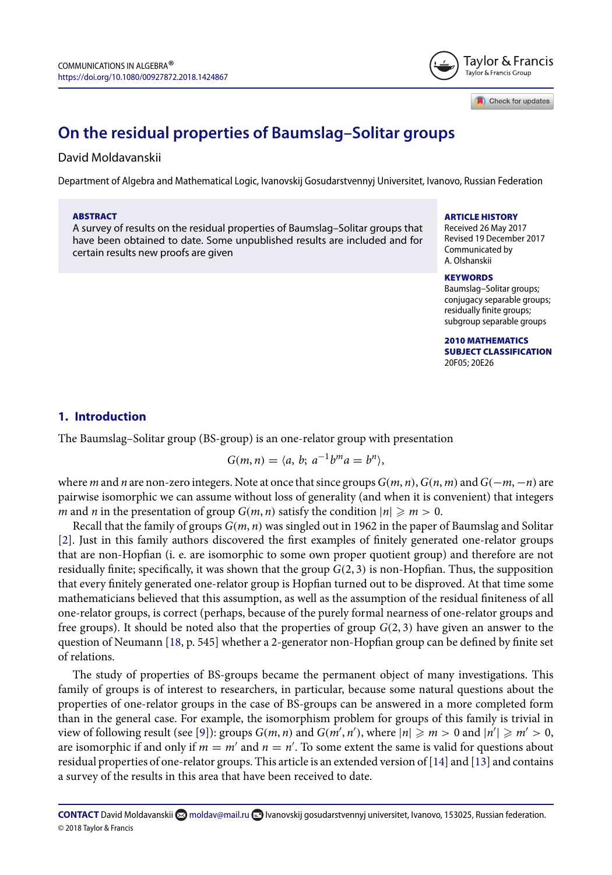

Check for updates

### **On the residual properties of Baumslag–Solitar groups**

#### David Moldavanskii

Department of Algebra and Mathematical Logic, Ivanovskij Gosudarstvennyj Universitet, Ivanovo, Russian Federation

#### ABSTRACT

A survey of results on the residual properties of Baumslag–Solitar groups that have been obtained to date. Some unpublished results are included and for certain results new proofs are given

#### ARTICLE HISTORY

Received 26 May 2017 Revised 19 December 2017 Communicated by A. Olshanskii

#### **KEYWORDS**

Baumslag–Solitar groups; conjugacy separable groups; residually finite groups; subgroup separable groups

2010 MATHEMATICS SUBJECT CLASSIFICATION 20F05; 20E26

#### **1. Introduction**

The Baumslag–Solitar group (BS-group) is an one-relator group with presentation

$$
G(m, n) = \langle a, b; a^{-1}b^ma = b^n \rangle,
$$

where m and n are non-zero integers. Note at once that since groups  $G(m, n)$ ,  $G(n, m)$  and  $G(-m, -n)$  are pairwise isomorphic we can assume without loss of generality (and when it is convenient) that integers m and n in the presentation of group  $G(m, n)$  satisfy the condition  $|n| \ge m > 0$ .

Recall that the family of groups  $G(m, n)$  was singled out in 1962 in the paper of Baumslag and Solitar [\[2\]](#page-12-0). Just in this family authors discovered the first examples of finitely generated one-relator groups that are non-Hopfian (i. e. are isomorphic to some own proper quotient group) and therefore are not residually finite; specifically, it was shown that the group  $G(2,3)$  is non-Hopfian. Thus, the supposition that every finitely generated one-relator group is Hopfian turned out to be disproved. At that time some mathematicians believed that this assumption, as well as the assumption of the residual finiteness of all one-relator groups, is correct (perhaps, because of the purely formal nearness of one-relator groups and free groups). It should be noted also that the properties of group  $G(2, 3)$  have given an answer to the question of Neumann [\[18,](#page-13-0) p. 545] whether a 2-generator non-Hopfian group can be defined by finite set of relations.

The study of properties of BS-groups became the permanent object of many investigations. This family of groups is of interest to researchers, in particular, because some natural questions about the properties of one-relator groups in the case of BS-groups can be answered in a more completed form than in the general case. For example, the isomorphism problem for groups of this family is trivial in view of following result (see [\[9\]](#page-13-1)): groups  $G(m, n)$  and  $G(m', n')$ , where  $|n| \geq m > 0$  and  $|n'| \geq m' > 0$ , are isomorphic if and only if  $m = m'$  and  $n = n'$ . To some extent the same is valid for questions about residual properties of one-relator groups. This article is an extended version of [\[14\]](#page-13-2) and [\[13\]](#page-13-3) and contains a survey of the results in this area that have been received to date.

**CONTACT** David Moldavanskii **M** [moldav@mail.ru](mailto:moldav@mail.ru) **I** Ivanovskij gosudarstvennyj universitet, Ivanovo, 153025, Russian federation. © 2018 Taylor & Francis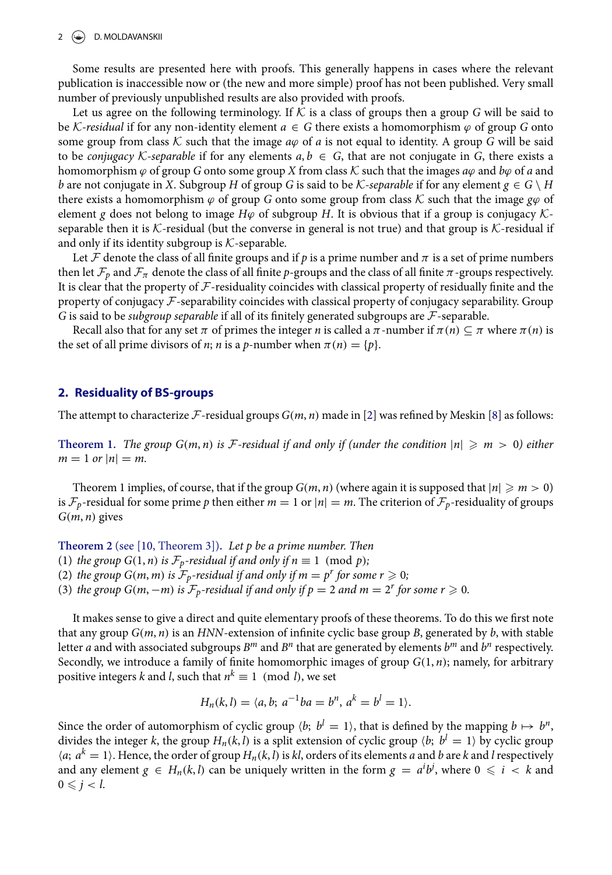Some results are presented here with proofs. This generally happens in cases where the relevant publication is inaccessible now or (the new and more simple) proof has not been published. Very small number of previously unpublished results are also provided with proofs.

Let us agree on the following terminology. If  $K$  is a class of groups then a group G will be said to be K-residual if for any non-identity element  $a \in G$  there exists a homomorphism  $\varphi$  of group G onto some group from class K such that the image  $a\varphi$  of a is not equal to identity. A group G will be said to be *conjugacy* K-separable if for any elements  $a, b \in G$ , that are not conjugate in G, there exists a homomorphism  $\varphi$  of group G onto some group X from class K such that the images  $a\varphi$  and  $b\varphi$  of a and b are not conjugate in X. Subgroup H of group G is said to be K-separable if for any element  $g \in G \setminus H$ there exists a homomorphism  $\varphi$  of group G onto some group from class K such that the image  $\varphi\varphi$  of element g does not belong to image  $H\varphi$  of subgroup H. It is obvious that if a group is conjugacy Kseparable then it is  $K$ -residual (but the converse in general is not true) and that group is  $K$ -residual if and only if its identity subgroup is  $K$ -separable.

Let  ${\cal F}$  denote the class of all finite groups and if  $p$  is a prime number and  $\pi$  is a set of prime numbers then let  $\mathcal{F}_p$  and  $\mathcal{F}_\pi$  denote the class of all finite  $p$ -groups and the class of all finite  $\pi$ -groups respectively. It is clear that the property of  ${\cal F}$ -residuality coincides with classical property of residually finite and the property of conjugacy F-separability coincides with classical property of conjugacy separability. Group G is said to be subgroup separable if all of its finitely generated subgroups are  $\mathcal F$ -separable.

Recall also that for any set  $\pi$  of primes the integer n is called a  $\pi$ -number if  $\pi(n) \subseteq \pi$  where  $\pi(n)$  is the set of all prime divisors of *n*; *n* is a *p*-number when  $\pi(n) = \{p\}.$ 

#### **2. Residuality of BS-groups**

The attempt to characterize  $\mathcal F$ -residual groups  $G(m, n)$  made in [\[2\]](#page-12-0) was refined by Meskin [\[8\]](#page-13-4) as follows:

**Theorem 1.** The group  $G(m, n)$  is F-residual if and only if (under the condition  $|n| \ge m > 0$ ) either  $m = 1 \text{ or } |n| = m.$ 

Theorem 1 implies, of course, that if the group  $G(m, n)$  (where again it is supposed that  $|n| \ge m > 0$ ) is  $\mathcal{F}_p$ -residual for some prime p then either  $m = 1$  or  $|n| = m$ . The criterion of  $\mathcal{F}_p$ -residuality of groups  $G(m, n)$  gives

**Theorem 2** (see [\[10,](#page-13-5) Theorem 3])**.** Let p be a prime number. Then

(1) the group  $G(1, n)$  is  $\mathcal{F}_p$ -residual if and only if  $n \equiv 1 \pmod{p}$ ;

(2) the group  $G(m, m)$  is  $\mathcal{F}_p$ -residual if and only if  $m = p^r$  for some  $r \geqslant 0$ ;

(3) the group  $G(m, -m)$  is  $\mathcal{F}_p$ -residual if and only if  $p = 2$  and  $m = 2^r$  for some  $r \geqslant 0$ .

It makes sense to give a direct and quite elementary proofs of these theorems. To do this we first note that any group  $G(m, n)$  is an HNN-extension of infinite cyclic base group B, generated by  $b$ , with stable letter a and with associated subgroups  $B^m$  and  $B^n$  that are generated by elements  $b^m$  and  $b^n$  respectively. Secondly, we introduce a family of finite homomorphic images of group  $G(1,n)$ ; namely, for arbitrary positive integers  $k$  and  $l$ , such that  $n^k \equiv 1 \pmod{l}$ , we set

$$
H_n(k, l) = \langle a, b; a^{-1}ba = b^n, a^k = b^l = 1 \rangle.
$$

Since the order of automorphism of cyclic group  $\langle b; \; b^l = 1 \rangle$ , that is defined by the mapping  $b \mapsto b^n$ . divides the integer k, the group  $H_n(k, l)$  is a split extension of cyclic group  $\langle b; \ b^l = 1 \rangle$  by cyclic group  $\langle a; a^k = 1 \rangle$ . Hence, the order of group  $H_n(k, l)$  is kl, orders of its elements a and b are k and l respectively and any element  $g \in H_n(k, l)$  can be uniquely written in the form  $g = a^i b^j$ , where  $0 \leqslant i < k$  and  $0 \leqslant j < l$ .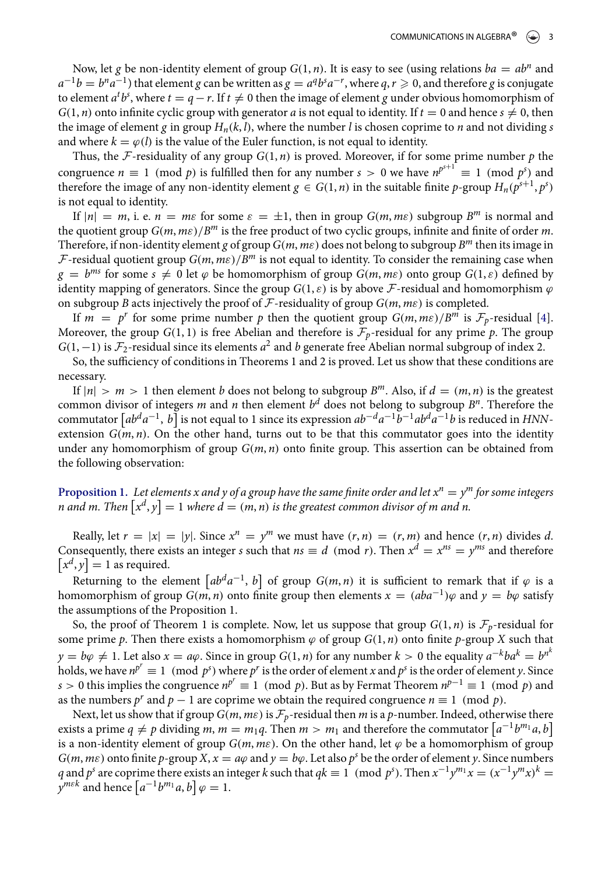Now, let g be non-identity element of group  $G(1, n)$ . It is easy to see (using relations  $ba = ab^n$  and  $a^{-1}b=b^na^{-1})$  that element  $g$  can be written as  $g=a^qb^sa^{-r}$ , where  $q,r\geqslant 0,$  and therefore  $g$  is conjugate to element  $a^t b^s$ , where  $t = q - r$ . If  $t \neq 0$  then the image of element  $g$  under obvious homomorphism of  $G(1, n)$  onto infinite cyclic group with generator a is not equal to identity. If  $t = 0$  and hence  $s \neq 0$ , then the image of element g in group  $H_n(k, l)$ , where the number l is chosen coprime to n and not dividing s and where  $k = \varphi(l)$  is the value of the Euler function, is not equal to identity.

Thus, the F-residuality of any group  $G(1, n)$  is proved. Moreover, if for some prime number p the congruence  $n \equiv 1 \pmod{p}$  is fulfilled then for any number  $s > 0$  we have  $n^{p^{s+1}} \equiv 1 \pmod{p^s}$  and therefore the image of any non-identity element  $g \in G(1, n)$  in the suitable finite p-group  $H_n(p^{s+1}, p^s)$ is not equal to identity.

If  $|n| = m$ , i. e.  $n = m\varepsilon$  for some  $\varepsilon = \pm 1$ , then in group  $G(m, m\varepsilon)$  subgroup  $B^m$  is normal and the quotient group  $G(m, m\varepsilon)/B^m$  is the free product of two cyclic groups, infinite and finite of order m. Therefore, if non-identity element g of group  $G(m, m\varepsilon)$  does not belong to subgroup  $B^m$  then its image in F-residual quotient group  $G(m, m\varepsilon)/B^m$  is not equal to identity. To consider the remaining case when  $g = b^{ms}$  for some  $s \neq 0$  let  $\varphi$  be homomorphism of group  $G(m, m\varepsilon)$  onto group  $G(1, \varepsilon)$  defined by identity mapping of generators. Since the group  $G(1, \varepsilon)$  is by above F-residual and homomorphism  $\varphi$ on subgroup B acts injectively the proof of F-residuality of group  $G(m, me)$  is completed.

If  $m = p^r$  for some prime number p then the quotient group  $G(m, m\epsilon)/B^m$  is  $\mathcal{F}_p$ -residual [\[4\]](#page-12-1). Moreover, the group  $G(1, 1)$  is free Abelian and therefore is  $\mathcal{F}_p$ -residual for any prime p. The group  $G(1, -1)$  is  $\mathcal{F}_2$ -residual since its elements  $a^2$  and b generate free Abelian normal subgroup of index 2.

So, the sufficiency of conditions in Theorems 1 and 2 is proved. Let us show that these conditions are necessary.

If  $|n| > m > 1$  then element b does not belong to subgroup  $B^m$ . Also, if  $d = (m, n)$  is the greatest common divisor of integers  $m$  and  $n$  then element  $b^d$  does not belong to subgroup  $B^n.$  Therefore the commutator  $\lceil ab^da^{-1},b\rceil$  is not equal to 1 since its expression  $ab^{-d}a^{-1}b^{-1}ab^da^{-1}b$  is reduced in HNNextension  $G(m, n)$ . On the other hand, turns out to be that this commutator goes into the identity under any homomorphism of group  $G(m, n)$  onto finite group. This assertion can be obtained from the following observation:

 $\bf{Proposition 1.}$  Let elements x and y of a group have the same finite order and let  $x^n = y^m$  for some integers n and m. Then  $\left[x^d,y\right]=1$  where  $d=(m,n)$  is the greatest common divisor of m and n.

Really, let  $r = |x| = |y|$ . Since  $x^n = y^m$  we must have  $(r, n) = (r, m)$  and hence  $(r, n)$  divides d. Consequently, there exists an integer *s* such that  $ns \equiv d \pmod{r}$ . Then  $x^d = x^{ns} = y^{ms}$  and therefore  $[x^d, y] = 1$  as required.

Returning to the element  $\left[ab^da^{-1}, b\right]$  of group  $G(m, n)$  it is sufficient to remark that if  $\varphi$  is a homomorphism of group  $G(m, n)$  onto finite group then elements  $x = (aba^{-1})\varphi$  and  $y = b\varphi$  satisfy the assumptions of the Proposition 1.

So, the proof of Theorem 1 is complete. Now, let us suppose that group  $G(1, n)$  is  $\mathcal{F}_p$ -residual for some prime p. Then there exists a homomorphism  $\varphi$  of group  $G(1,n)$  onto finite p-group X such that  $y = b\varphi \neq 1$ . Let also  $x = a\varphi$ . Since in group  $G(1, n)$  for any number  $k > 0$  the equality  $a^{-k}ba^k = b^{n^k}$ holds, we have  $n^{p^r} \equiv 1 \pmod{p^s}$  where  $p^r$  is the order of element x and  $p^s$  is the order of element y. Since s > 0 this implies the congruence  $n^{p^r}$  ≡ 1 (mod p). But as by Fermat Theorem  $n^{p-1}$  ≡ 1 (mod p) and as the numbers  $p^r$  and  $p-1$  are coprime we obtain the required congruence  $n \equiv 1 \pmod{p}$ .

Next, let us show that if group  $G(m, m\varepsilon)$  is  $\mathcal{F}_p$ -residual then m is a p-number. Indeed, otherwise there exists a prime  $q \neq p$  dividing  $m, m = m_1q$ . Then  $m > m_1$  and therefore the commutator  $\left[a^{-1}b^{m_1}a, b\right]$ is a non-identity element of group  $G(m, m\varepsilon)$ . On the other hand, let  $\varphi$  be a homomorphism of group  $G(m, m\varepsilon)$  onto finite p-group X,  $x = a\varphi$  and  $y = b\varphi$ . Let also p<sup>s</sup> be the order of element y. Since numbers q and  $p^s$  are coprime there exists an integer k such that  $qk \equiv 1 \pmod{p^s}$ . Then  $x^{-1}y^{m_1}x = (x^{-1}y^mx)^k = 1$  $y^{m\epsilon k}$  and hence  $[a^{-1}b^{m_1}a, b] \varphi = 1$ .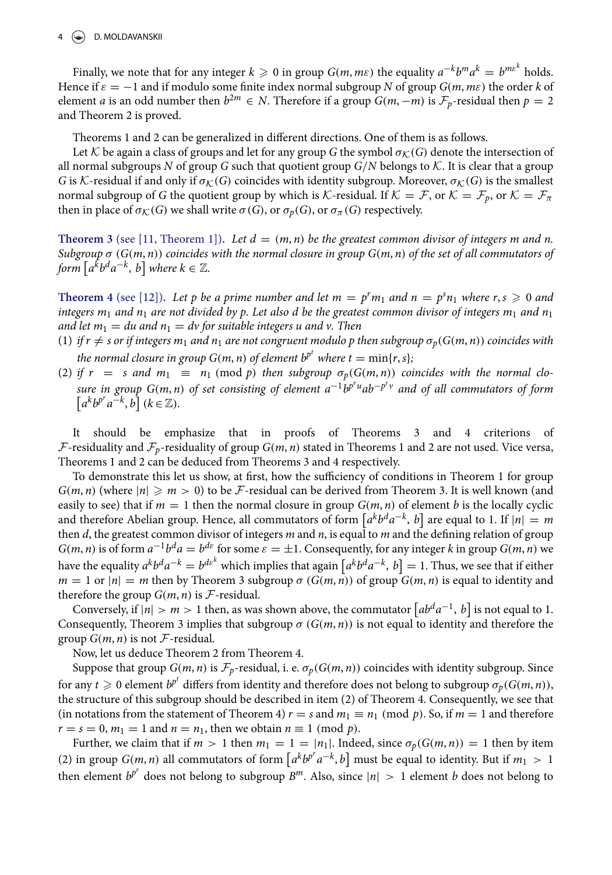Finally, we note that for any integer  $k\geqslant 0$  in group  $G(m,m\varepsilon)$  the equality  $a^{-k}b^ma^k=b^{ms^k}$  holds. Hence if  $\varepsilon = -1$  and if modulo some finite index normal subgroup N of group  $G(m, m\varepsilon)$  the order k of element *a* is an odd number then  $b^{2m} \in N$ . Therefore if a group  $G(m, -m)$  is  $\mathcal{F}_p$ -residual then  $p = 2$ and Theorem 2 is proved.

Theorems 1 and 2 can be generalized in different directions. One of them is as follows.

Let K be again a class of groups and let for any group G the symbol  $\sigma_K(G)$  denote the intersection of all normal subgroups N of group G such that quotient group  $G/N$  belongs to K. It is clear that a group G is K-residual if and only if  $\sigma_K(G)$  coincides with identity subgroup. Moreover,  $\sigma_K(G)$  is the smallest normal subgroup of G the quotient group by which is K-residual. If  $K = \mathcal{F}$ , or  $K = \mathcal{F}_p$ , or  $K = \mathcal{F}_{\pi}$ then in place of  $\sigma_{\mathcal{K}}(G)$  we shall write  $\sigma(G)$ , or  $\sigma_{\sigma}(G)$ , or  $\sigma_{\pi}(G)$  respectively.

**Theorem 3** (see [\[11,](#page-13-6) Theorem 1]). Let  $d = (m, n)$  be the greatest common divisor of integers m and n. Subgroup  $\sigma(G(m, n))$  coincides with the normal closure in group  $G(m, n)$  of the set of all commutators of form  $\left[a^k b^d a^{-k},\,b\right]$  where  $k\in\mathbb{Z}.$ 

**Theorem 4** (see [\[12\]](#page-13-7)). Let p be a prime number and let  $m = p^r m_1$  and  $n = p^s n_1$  where  $r, s \geq 0$  and integers  $m_1$  and  $n_1$  are not divided by p. Let also d be the greatest common divisor of integers  $m_1$  and  $n_1$ and let  $m_1 = du$  and  $n_1 = dv$  for suitable integers u and v. Then

- (1) if  $r \neq s$  or if integers  $m_1$  and  $n_1$  are not congruent modulo p then subgroup  $\sigma_p(G(m, n))$  coincides with the normal closure in group G(m, n) of element  $b^{p^t}$  where  $t = \min\{r,s\}$ ;
- (2) if  $r = s$  and  $m_1 \equiv n_1 \pmod{p}$  then subgroup  $\sigma_p(G(m, n))$  coincides with the normal closure in group G(m,n) of set consisting of element  $a^{-1}b^{p^ru}ab^{-p^rv}$  and of all commutators of form  $[a^k b^{p^r} a^{-k}, b]$   $(k \in \mathbb{Z})$ .

It should be emphasize that in proofs of Theorems 3 and 4 criterions of  $F$ -residuality and  $\mathcal{F}_p$ -residuality of group  $G(m, n)$  stated in Theorems 1 and 2 are not used. Vice versa, Theorems 1 and 2 can be deduced from Theorems 3 and 4 respectively.

To demonstrate this let us show, at first, how the sufficiency of conditions in Theorem 1 for group  $G(m, n)$  (where  $|n| \geq m > 0$ ) to be F-residual can be derived from Theorem 3. It is well known (and easily to see) that if  $m = 1$  then the normal closure in group  $G(m, n)$  of element b is the locally cyclic and therefore Abelian group. Hence, all commutators of form  $\left[a^k b^d a^{-k},\, b\right]$  are equal to 1. If  $|n| = m$ then  $d$ , the greatest common divisor of integers  $m$  and  $n$ , is equal to  $m$  and the defining relation of group  $G(m, n)$  is of form  $a^{-1}b^da = b^{de}$  for some  $\varepsilon = \pm 1$ . Consequently, for any integer k in group  $G(m, n)$  we have the equality  $a^kb^da^{-k}=b^{de^k}$  which implies that again  $\left[a^kb^da^{-k},\,b\right]=1.$  Thus, we see that if either  $m = 1$  or  $|n| = m$  then by Theorem 3 subgroup  $\sigma(G(m, n))$  of group  $G(m, n)$  is equal to identity and therefore the group  $G(m, n)$  is  $\mathcal F$ -residual.

Conversely, if  $|n| > m > 1$  then, as was shown above, the commutator  $\left[ ab^d a^{-1}, b \right]$  is not equal to 1. Consequently, Theorem 3 implies that subgroup  $\sigma(G(m, n))$  is not equal to identity and therefore the group  $G(m, n)$  is not F-residual.

Now, let us deduce Theorem 2 from Theorem 4.

Suppose that group  $G(m, n)$  is  $\mathcal{F}_p$ -residual, i. e.  $\sigma_p(G(m, n))$  coincides with identity subgroup. Since for any  $t\geqslant 0$  element  $b^{p^t}$  differs from identity and therefore does not belong to subgroup  $\sigma_p(G(m,n))_i$ the structure of this subgroup should be described in item (2) of Theorem 4. Consequently, we see that (in notations from the statement of Theorem 4)  $r = s$  and  $m_1 \equiv n_1 \pmod{p}$ . So, if  $m = 1$  and therefore  $r = s = 0$ ,  $m_1 = 1$  and  $n = n_1$ , then we obtain  $n \equiv 1 \pmod{p}$ .

Further, we claim that if  $m > 1$  then  $m_1 = 1 = |n_1|$ . Indeed, since  $\sigma_p(G(m, n)) = 1$  then by item (2) in group  $G(m, n)$  all commutators of form  $[a^k b^{p^r} a^{-k}, b]$  must be equal to identity. But if  $m_1 > 1$ then element  $b^{p^r}$  does not belong to subgroup  $B^m$ . Also, since  $|n| > 1$  element b does not belong to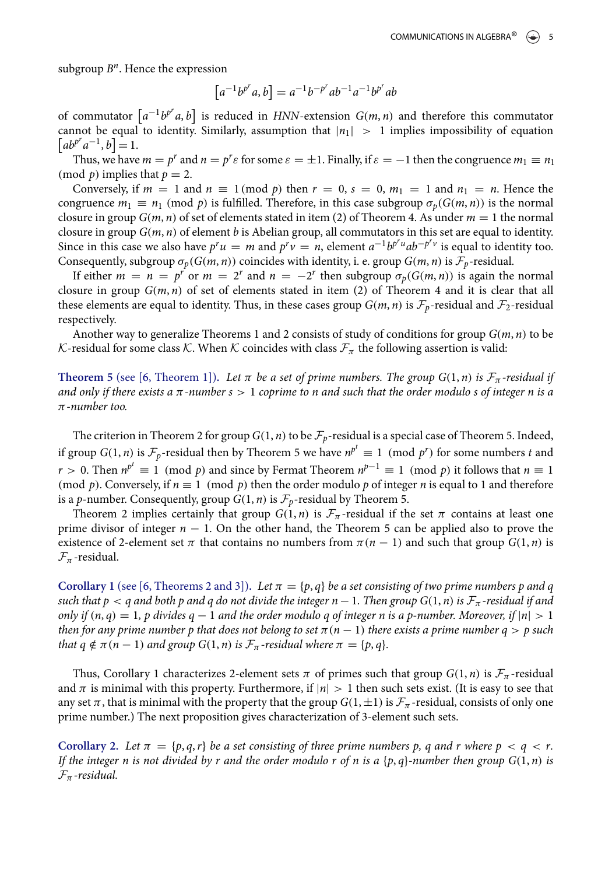subgroup  $B<sup>n</sup>$ . Hence the expression

$$
[a^{-1}b^{p^r}a, b] = a^{-1}b^{-p^r}ab^{-1}a^{-1}b^{p^r}ab
$$

of commutator  $\left[a^{-1}b^{p^r}a, b\right]$  is reduced in HNN-extension  $G(m, n)$  and therefore this commutator cannot be equal to identity. Similarly, assumption that  $|n_1| > 1$  implies impossibility of equation  $\left[ ab^{p^r}a^{-1}, b \right] = 1.$ 

Thus, we have  $m = p^r$  and  $n = p^r \varepsilon$  for some  $\varepsilon = \pm 1$ . Finally, if  $\varepsilon = -1$  then the congruence  $m_1 \equiv n_1$ (mod  $p$ ) implies that  $p = 2$ .

Conversely, if  $m = 1$  and  $n \equiv 1 \pmod{p}$  then  $r = 0$ ,  $s = 0$ ,  $m_1 = 1$  and  $n_1 = n$ . Hence the congruence  $m_1 \equiv n_1 \pmod{p}$  is fulfilled. Therefore, in this case subgroup  $\sigma_p(G(m,n))$  is the normal closure in group  $G(m, n)$  of set of elements stated in item (2) of Theorem 4. As under  $m = 1$  the normal closure in group  $G(m, n)$  of element b is Abelian group, all commutators in this set are equal to identity. Since in this case we also have  $p^r u = m$  and  $p^r v = n$ , element  $a^{-1}b^{p^r u}ab^{-p^r v}$  is equal to identity too. Consequently, subgroup  $\sigma_p(G(m, n))$  coincides with identity, i. e. group  $G(m, n)$  is  $\mathcal{F}_p$ -residual.

If either  $m = n = p^r$  or  $m = 2^r$  and  $n = -2^r$  then subgroup  $\sigma_p(G(m, n))$  is again the normal closure in group  $G(m, n)$  of set of elements stated in item (2) of Theorem 4 and it is clear that all these elements are equal to identity. Thus, in these cases group  $G(m, n)$  is  $\mathcal{F}_p$ -residual and  $\mathcal{F}_2$ -residual respectively.

Another way to generalize Theorems 1 and 2 consists of study of conditions for group  $G(m, n)$  to be K-residual for some class K. When K coincides with class  $\mathcal{F}_{\pi}$  the following assertion is valid:

**Theorem 5** (see [\[6,](#page-12-2) Theorem 1]). Let  $\pi$  be a set of prime numbers. The group  $G(1, n)$  is  $\mathcal{F}_{\pi}$ -residual if and only if there exists a  $\pi$ -number  $s > 1$  coprime to n and such that the order modulo s of integer n is a π-number too.

The criterion in Theorem 2 for group  $G(1, n)$  to be  $\mathcal{F}_p$ -residual is a special case of Theorem 5. Indeed, if group  $G(1, n)$  is  $\mathcal{F}_p$ -residual then by Theorem 5 we have  $n^{p^t} \equiv 1 \pmod{p^r}$  for some numbers t and  $r > 0$ . Then  $n^{p^t} \equiv 1 \pmod{p}$  and since by Fermat Theorem  $n^{p-1} \equiv 1 \pmod{p}$  it follows that  $n \equiv 1$ (mod p). Conversely, if  $n \equiv 1 \pmod{p}$  then the order modulo p of integer n is equal to 1 and therefore is a p-number. Consequently, group  $G(1, n)$  is  $\mathcal{F}_p$ -residual by Theorem 5.

Theorem 2 implies certainly that group  $G(1, n)$  is  $\mathcal{F}_{\pi}$ -residual if the set  $\pi$  contains at least one prime divisor of integer  $n - 1$ . On the other hand, the Theorem 5 can be applied also to prove the existence of 2-element set  $\pi$  that contains no numbers from  $\pi(n - 1)$  and such that group  $G(1, n)$  is  $\mathcal{F}_{\pi}$ -residual.

**Corollary 1** (see [\[6,](#page-12-2) Theorems 2 and 3]). Let  $\pi = \{p, q\}$  be a set consisting of two prime numbers p and q such that  $p < q$  and both p and q do not divide the integer  $n - 1$ . Then group  $G(1, n)$  is  $\mathcal{F}_\pi$ -residual if and only if  $(n, q) = 1$ , p divides  $q - 1$  and the order modulo q of integer n is a p-number. Moreover, if  $|n| > 1$ then for any prime number p that does not belong to set  $\pi(n-1)$  there exists a prime number  $q > p$  such that  $q \notin \pi(n - 1)$  and group  $G(1, n)$  is  $\mathcal{F}_{\pi}$ -residual where  $\pi = \{p, q\}.$ 

Thus, Corollary 1 characterizes 2-element sets  $\pi$  of primes such that group  $G(1, n)$  is  $\mathcal{F}_{\pi}$ -residual and  $\pi$  is minimal with this property. Furthermore, if  $|n| > 1$  then such sets exist. (It is easy to see that any set  $\pi$ , that is minimal with the property that the group  $G(1,\pm 1)$  is  $\mathcal{F}_{\pi}$ -residual, consists of only one prime number.) The next proposition gives characterization of 3-element such sets.

**Corollary 2.** Let  $\pi = \{p, q, r\}$  be a set consisting of three prime numbers p, q and r where  $p < q < r$ . If the integer n is not divided by r and the order modulo r of n is a  $\{p, q\}$ -number then group  $G(1, n)$  is  $\mathcal{F}_{\pi}$ -residual.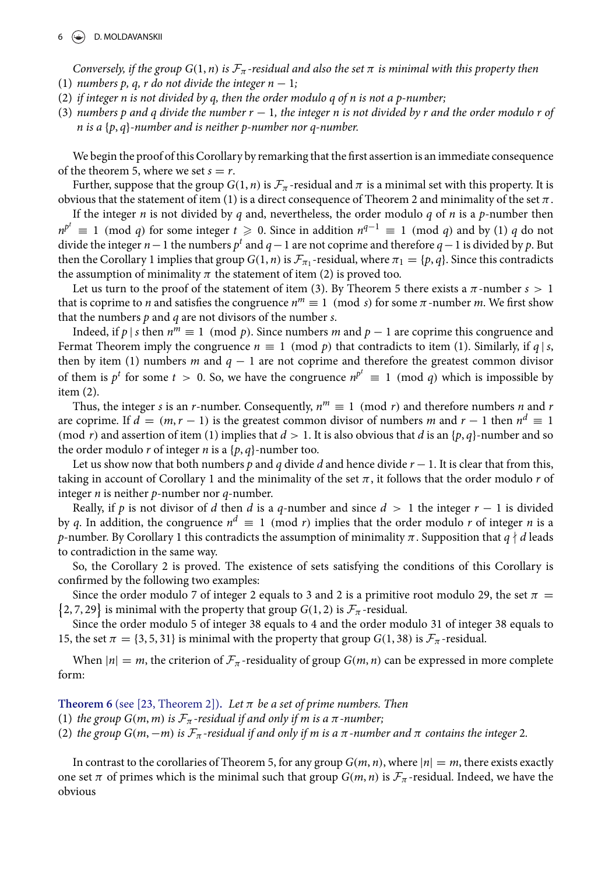Conversely, if the group  $G(1, n)$  is  $\mathcal{F}_{\pi}$ -residual and also the set  $\pi$  is minimal with this property then (1) numbers p, q, r do not divide the integer  $n - 1$ ;

- (2) if integer n is not divided by q, then the order modulo q of n is not a p-number;
- (3) numbers p and q divide the number  $r 1$ , the integer n is not divided by r and the order modulo r of n is a  $\{p, q\}$ -number and is neither p-number nor q-number.

We begin the proof of this Corollary by remarking that the first assertion is an immediate consequence of the theorem 5, where we set  $s = r$ .

Further, suppose that the group  $G(1, n)$  is  $\mathcal{F}_{\pi}$ -residual and  $\pi$  is a minimal set with this property. It is obvious that the statement of item (1) is a direct consequence of Theorem 2 and minimality of the set  $\pi$ .

If the integer n is not divided by q and, nevertheless, the order modulo q of n is a p-number then  $n^{p^t} \equiv 1 \pmod{q}$  for some integer  $t \geqslant 0$ . Since in addition  $n^{q-1} \equiv 1 \pmod{q}$  and by (1) q do not divide the integer  $n-1$  the numbers  $p^t$  and  $q-1$  are not coprime and therefore  $q-1$  is divided by  $p$ . But then the Corollary 1 implies that group  $G(1, n)$  is  $\mathcal{F}_{\pi_1}$ -residual, where  $\pi_1 = \{p, q\}$ . Since this contradicts the assumption of minimality  $\pi$  the statement of item (2) is proved too.

Let us turn to the proof of the statement of item (3). By Theorem 5 there exists a  $\pi$ -number  $s > 1$ that is coprime to *n* and satisfies the congruence  $n^m \equiv 1 \pmod{s}$  for some  $\pi$ -number *m*. We first show that the numbers  $p$  and  $q$  are not divisors of the number  $s$ .

Indeed, if  $p \mid s$  then  $n^m \equiv 1 \pmod{p}$ . Since numbers m and  $p-1$  are coprime this congruence and Fermat Theorem imply the congruence  $n \equiv 1 \pmod{p}$  that contradicts to item (1). Similarly, if  $q \mid s$ , then by item (1) numbers m and  $q - 1$  are not coprime and therefore the greatest common divisor of them is  $p^t$  for some  $t > 0$ . So, we have the congruence  $n^{p^t} \equiv 1 \pmod{q}$  which is impossible by item (2).

Thus, the integer s is an r-number. Consequently,  $n^m \equiv 1 \pmod{r}$  and therefore numbers n and n are coprime. If  $d = (m, r - 1)$  is the greatest common divisor of numbers m and  $r - 1$  then  $n^d \equiv 1$ (mod r) and assertion of item (1) implies that  $d > 1$ . It is also obvious that d is an {p, q}-number and so the order modulo r of integer n is a  $\{p, q\}$ -number too.

Let us show now that both numbers p and q divide d and hence divide  $r - 1$ . It is clear that from this, taking in account of Corollary 1 and the minimality of the set  $\pi$ , it follows that the order modulo r of integer  $n$  is neither  $p$ -number nor  $q$ -number.

Really, if p is not divisor of d then d is a q-number and since  $d > 1$  the integer  $r - 1$  is divided by q. In addition, the congruence  $n^d \equiv 1 \pmod{r}$  implies that the order modulo r of integer n is a p-number. By Corollary 1 this contradicts the assumption of minimality  $\pi$ . Supposition that  $q \nmid d$  leads to contradiction in the same way.

So, the Corollary 2 is proved. The existence of sets satisfying the conditions of this Corollary is confirmed by the following two examples:

Since the order modulo 7 of integer 2 equals to 3 and 2 is a primitive root modulo 29, the set  $\pi$  =  $\{2, 7, 29\}$  is minimal with the property that group  $G(1, 2)$  is  $\mathcal{F}_{\pi}$ -residual.

Since the order modulo 5 of integer 38 equals to 4 and the order modulo 31 of integer 38 equals to 15, the set  $\pi = \{3, 5, 31\}$  is minimal with the property that group  $G(1, 38)$  is  $\mathcal{F}_{\pi}$ -residual.

When  $|n| = m$ , the criterion of  $\mathcal{F}_{\pi}$ -residuality of group  $G(m, n)$  can be expressed in more complete form:

**Theorem 6** (see [\[23,](#page-13-8) Theorem 2]). Let  $\pi$  be a set of prime numbers. Then

(1) the group  $G(m, m)$  is  $\mathcal{F}_{\pi}$ -residual if and only if m is a  $\pi$ -number;

(2) the group  $G(m, -m)$  is  $\mathcal{F}_{\pi}$ -residual if and only if m is a  $\pi$ -number and  $\pi$  contains the integer 2.

In contrast to the corollaries of Theorem 5, for any group  $G(m, n)$ , where  $|n| = m$ , there exists exactly one set  $\pi$  of primes which is the minimal such that group  $G(m, n)$  is  $\mathcal{F}_{\pi}$ -residual. Indeed, we have the obvious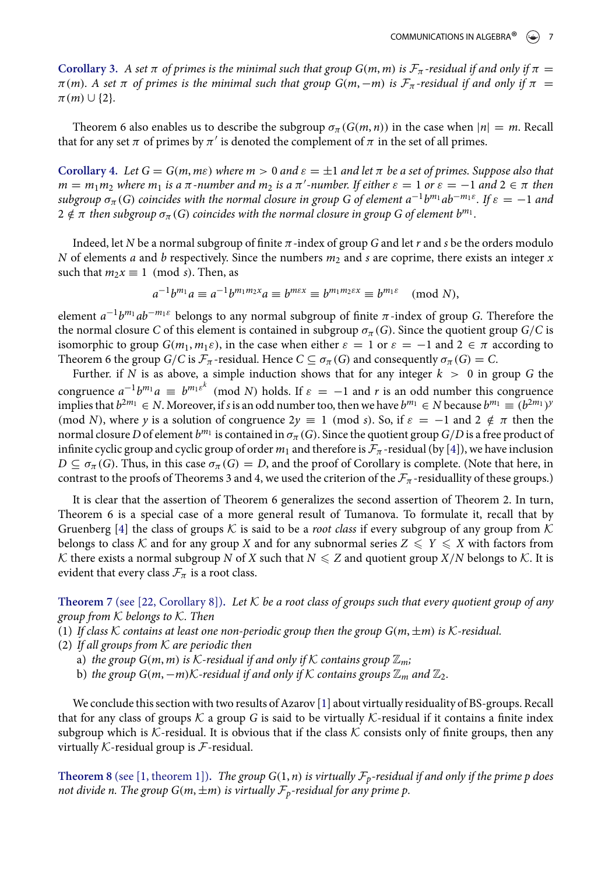**Corollary 3.** A set  $\pi$  of primes is the minimal such that group G(m, m) is  $\mathcal{F}_{\pi}$ -residual if and only if  $\pi$  $\pi(m)$ . A set  $\pi$  of primes is the minimal such that group G(m, -m) is  $\mathcal{F}_{\pi}$ -residual if and only if  $\pi$  =  $\pi(m) \cup \{2\}.$ 

Theorem 6 also enables us to describe the subgroup  $\sigma_{\pi}(G(m, n))$  in the case when  $|n| = m$ . Recall that for any set  $\pi$  of primes by  $\pi'$  is denoted the complement of  $\pi$  in the set of all primes.

**Corollary 4.** Let  $G = G(m, m\varepsilon)$  where  $m > 0$  and  $\varepsilon = \pm 1$  and let  $\pi$  be a set of primes. Suppose also that  $m = m_1 m_2$  where  $m_1$  is a  $\pi$ -number and  $m_2$  is a  $\pi'$ -number. If either  $\varepsilon = 1$  or  $\varepsilon = -1$  and  $2 \in \pi$  then subgroup  $\sigma_\pi(G)$  coincides with the normal closure in group G of element  $a^{-1}b^{m_1}ab^{-m_1\varepsilon}.$  If  $\varepsilon=-1$  and  $2\notin\pi$  then subgroup  $\sigma_\pi(G)$  coincides with the normal closure in group G of element  $b^{m_1}.$ 

Indeed, let N be a normal subgroup of finite  $\pi$  -index of group  $G$  and let  $r$  and  $s$  be the orders modulo N of elements a and b respectively. Since the numbers  $m_2$  and s are coprime, there exists an integer x such that  $m_2x \equiv 1 \pmod{s}$ . Then, as

$$
a^{-1}b^{m_1}a \equiv a^{-1}b^{m_1m_2x}a \equiv b^{m\epsilon x} \equiv b^{m_1m_2\epsilon x} \equiv b^{m_1\epsilon} \pmod{N},
$$

element  $a^{-1}b^{m_1}ab^{-m_1\varepsilon}$  belongs to any normal subgroup of finite  $\pi$ -index of group G. Therefore the the normal closure C of this element is contained in subgroup  $\sigma_{\pi}(G)$ . Since the quotient group  $G/C$  is isomorphic to group  $G(m_1, m_1 \varepsilon)$ , in the case when either  $\varepsilon = 1$  or  $\varepsilon = -1$  and  $2 \in \pi$  according to Theorem 6 the group  $G/C$  is  $\mathcal{F}_{\pi}$ -residual. Hence  $C \subseteq \sigma_{\pi}(G)$  and consequently  $\sigma_{\pi}(G) = C$ .

Further. if N is as above, a simple induction shows that for any integer  $k > 0$  in group G the congruence  $a^{-1}b^{m_1}a \equiv b^{m_1\varepsilon^k} \pmod{N}$  holds. If  $\varepsilon = -1$  and r is an odd number this congruence implies that  $b^{2m_1} \in N$ . Moreover, if s is an odd number too, then we have  $b^{m_1} \in N$  because  $b^{m_1} \equiv (b^{2m_1})^y$ (mod N), where y is a solution of congruence  $2y \equiv 1 \pmod{s}$ . So, if  $\varepsilon = -1$  and  $2 \notin \pi$  then the normal closure  $D$  of element  $b^{m_1}$  is contained in  $\sigma_\pi(G)$ . Since the quotient group  $G/D$  is a free product of infinite cyclic group and cyclic group of order  $m_1$  and therefore is  $\mathcal{F}_{\pi}$  -residual (by [\[4\]](#page-12-1)), we have inclusion  $D \subseteq \sigma_{\pi}(G)$ . Thus, in this case  $\sigma_{\pi}(G) = D$ , and the proof of Corollary is complete. (Note that here, in contrast to the proofs of Theorems 3 and 4, we used the criterion of the  $\mathcal{F}_{\pi}$ -residuallity of these groups.)

It is clear that the assertion of Theorem 6 generalizes the second assertion of Theorem 2. In turn, Theorem 6 is a special case of a more general result of Tumanova. To formulate it, recall that by Gruenberg [\[4\]](#page-12-1) the class of groups K is said to be a *root class* if every subgroup of any group from K belongs to class K and for any group X and for any subnormal series  $Z \leq Y \leq X$  with factors from K there exists a normal subgroup N of X such that  $N \leq Z$  and quotient group  $X/N$  belongs to K. It is evident that every class  $\mathcal{F}_{\pi}$  is a root class.

**Theorem** 7 (see [\[22,](#page-13-9) Corollary 8]). Let  $K$  be a root class of groups such that every quotient group of any group from  $K$  belongs to  $K$ . Then

(1) If class K contains at least one non-periodic group then the group  $G(m, \pm m)$  is K-residual.

- (2) If all groups from  $K$  are periodic then
	- a) the group  $G(m, m)$  is K-residual if and only if K contains group  $\mathbb{Z}_m$ ;
	- b) the group  $G(m, -m)$ K-residual if and only if K contains groups  $\mathbb{Z}_m$  and  $\mathbb{Z}_2$ .

We conclude this section with two results of Azarov [\[1\]](#page-12-3) about virtually residuality of BS-groups. Recall that for any class of groups  $K$  a group G is said to be virtually  $K$ -residual if it contains a finite index subgroup which is K-residual. It is obvious that if the class K consists only of finite groups, then any virtually  $K$ -residual group is  $F$ -residual.

**Theorem 8** (see [\[1,](#page-12-3) theorem 1]). The group  $G(1, n)$  is virtually  $\mathcal{F}_p$ -residual if and only if the prime p does not divide n. The group  $G(m, \pm m)$  is virtually  $\mathcal{F}_p$ -residual for any prime p.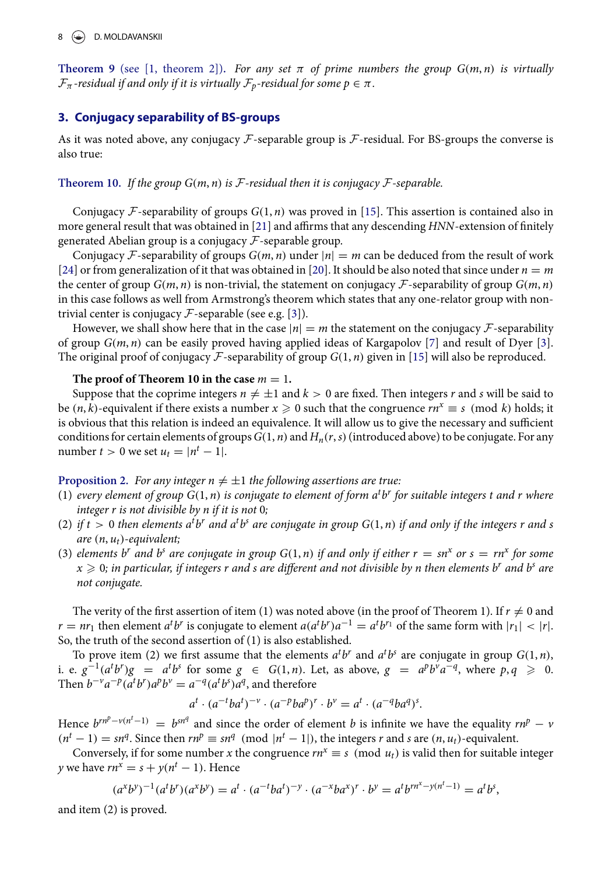**Theorem 9** (see [\[1,](#page-12-3) theorem 2]). For any set  $\pi$  of prime numbers the group  $G(m, n)$  is virtually  $\mathcal{F}_{\pi}$ -residual if and only if it is virtually  $\mathcal{F}_{p}$ -residual for some  $p \in \pi$ .

#### **3. Conjugacy separability of BS-groups**

As it was noted above, any conjugacy  $\mathcal F$ -separable group is  $\mathcal F$ -residual. For BS-groups the converse is also true:

**Theorem 10.** If the group  $G(m, n)$  is F-residual then it is conjugacy F-separable.

Conjugacy F-separability of groups  $G(1, n)$  was proved in [\[15\]](#page-13-10). This assertion is contained also in more general result that was obtained in [\[21\]](#page-13-11) and affirms that any descending  $HNN$ -extension of finitely generated Abelian group is a conjugacy  $F$ -separable group.

Conjugacy F-separability of groups  $G(m, n)$  under  $|n| = m$  can be deduced from the result of work [\[24\]](#page-13-12) or from generalization of it that was obtained in [\[20\]](#page-13-13). It should be also noted that since under  $n = m$ the center of group  $G(m, n)$  is non-trivial, the statement on conjugacy  $\mathcal F$ -separability of group  $G(m, n)$ in this case follows as well from Armstrong's theorem which states that any one-relator group with nontrivial center is conjugacy  $\mathcal F$ -separable (see e.g. [\[3\]](#page-12-4)).

However, we shall show here that in the case  $|n| = m$  the statement on the conjugacy  $\mathcal{F}$ -separability of group  $G(m, n)$  can be easily proved having applied ideas of Kargapolov [\[7\]](#page-12-5) and result of Dyer [\[3\]](#page-12-4). The original proof of conjugacy  $\mathcal F$ -separability of group  $G(1, n)$  given in [\[15\]](#page-13-10) will also be reproduced.

#### The proof of Theorem 10 in the case  $m = 1$ .

Suppose that the coprime integers  $n\neq \pm 1$  and  $k>0$  are fixed. Then integers  $r$  and  $s$  will be said to be  $(n, k)$ -equivalent if there exists a number  $x \ge 0$  such that the congruence  $rn^x \equiv s \pmod{k}$  holds; it is obvious that this relation is indeed an equivalence. It will allow us to give the necessary and sufficient conditions for certain elements of groups  $G(1, n)$  and  $H_n(r, s)$  (introduced above) to be conjugate. For any number  $t > 0$  we set  $u_t = |n^t - 1|$ .

#### **Proposition 2.** For any integer  $n \neq \pm 1$  the following assertions are true:

- (1) every element of group  $G(1, n)$  is conjugate to element of form  $a<sup>t</sup>b<sup>r</sup>$  for suitable integers t and r where integer r is not divisible by n if it is not 0;
- (2) if  $t > 0$  then elements  $a^t b^r$  and  $a^t b^s$  are conjugate in group  $G(1, n)$  if and only if the integers r and s are  $(n, u_t)$ -equivalent;
- (3) elements b<sup>r</sup> and b<sup>s</sup> are conjugate in group  $G(1, n)$  if and only if either  $r = sn^x$  or  $s = rn^x$  for some  $x \geq 0$ ; in particular, if integers r and s are different and not divisible by n then elements b<sup>r</sup> and b<sup>s</sup> are not conjugate.

The verity of the first assertion of item (1) was noted above (in the proof of Theorem 1). If  $r\neq 0$  and  $r = nr_1$  then element  $a^t b^r$  is conjugate to element  $a(a^t b^r) a^{-1} = a^t b^{r_1}$  of the same form with  $|r_1| < |r|$ . So, the truth of the second assertion of (1) is also established.

To prove item (2) we first assume that the elements  $a^t b^r$  and  $a^t b^s$  are conjugate in group  $G(1, n)$ , i. e.  $g^{-1}(a^t b^r)g = a^t b^s$  for some  $g \in G(1, n)$ . Let, as above,  $g = a^p b^v a^{-q}$ , where  $p, q \ge 0$ . Then  $b^{-\nu}a^{-p}(a^t b^r)a^p b^{\nu} = a^{-q}(a^t b^s)a^q$ , and therefore

$$
a^t \cdot (a^{-t}ba^t)^{-\nu} \cdot (a^{-p}ba^p)^r \cdot b^{\nu} = a^t \cdot (a^{-q}ba^q)^s.
$$

Hence  $b^{rn^p - v(n^t - 1)} = b^{sn^q}$  and since the order of element b is infinite we have the equality  $rn^p - v$  $(n<sup>t</sup> - 1) = sn<sup>q</sup>$ . Since then  $rn<sup>p</sup> \equiv sn<sup>q</sup> \pmod{ |n<sup>t</sup> - 1 |}$ , the integers r and s are  $(n, u<sub>t</sub>)$ -equivalent.

Conversely, if for some number x the congruence  $rn^x \equiv s \pmod{u_t}$  is valid then for suitable integer y we have  $rn^x = s + y(n^t - 1)$ . Hence

$$
(a^x b^y)^{-1} (a^t b^r) (a^x b^y) = a^t \cdot (a^{-t} b a^t)^{-y} \cdot (a^{-x} b a^x)^r \cdot b^y = a^t b^{r n^x - y(n^t - 1)} = a^t b^s,
$$

and item (2) is proved.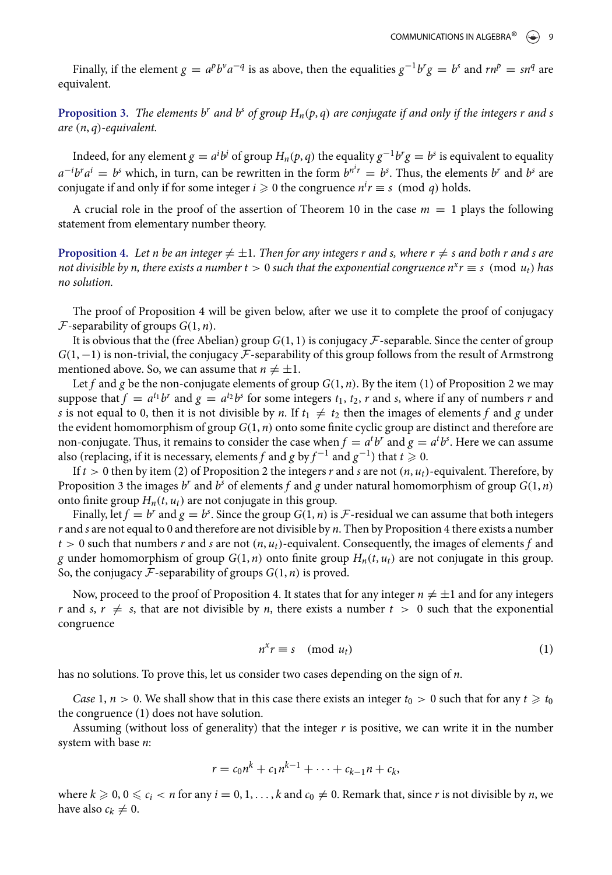Finally, if the element  $g = a^p b^v a^{-q}$  is as above, then the equalities  $g^{-1} b^r g = b^s$  and  $rn^p = sn^q$  are equivalent.

**Proposition 3.** The elements b<sup>r</sup> and b<sup>s</sup> of group  $H_n(p,q)$  are conjugate if and only if the integers r and s are (n, q)-equivalent.

Indeed, for any element  $g = a^i b^j$  of group  $H_n(p,q)$  the equality  $g^{-1}b^r g = b^s$  is equivalent to equality  $a^{-i}b^ra^i = b^s$  which, in turn, can be rewritten in the form  $b^{n'r} = b^s$ . Thus, the elements  $b^r$  and  $b^s$  are conjugate if and only if for some integer  $i \geqslant 0$  the congruence  $n^i r \equiv s \pmod q$  holds.

A crucial role in the proof of the assertion of Theorem 10 in the case  $m = 1$  plays the following statement from elementary number theory.

**Proposition 4.** Let n be an integer  $\neq \pm 1$ . Then for any integers r and s, where  $r \neq s$  and both r and s are not divisible by n, there exists a number  $t > 0$  such that the exponential congruence  $n^x r \equiv s \pmod{u_t}$  has no solution.

The proof of Proposition 4 will be given below, after we use it to complete the proof of conjugacy  $\mathcal F$ -separability of groups  $G(1, n)$ .

It is obvious that the (free Abelian) group  $G(1, 1)$  is conjugacy  $\mathcal F$ -separable. Since the center of group  $G(1, -1)$  is non-trivial, the conjugacy  $\mathcal F$ -separability of this group follows from the result of Armstrong mentioned above. So, we can assume that  $n \neq \pm 1$ .

Let f and g be the non-conjugate elements of group  $G(1, n)$ . By the item (1) of Proposition 2 we may suppose that  $f = a^{t_1}b^r$  and  $g = a^{t_2}b^s$  for some integers  $t_1$ ,  $t_2$ ,  $r$  and  $s$ , where if any of numbers  $r$  and s is not equal to 0, then it is not divisible by n. If  $t_1 \neq t_2$  then the images of elements f and g under the evident homomorphism of group  $G(1,n)$  onto some finite cyclic group are distinct and therefore are non-conjugate. Thus, it remains to consider the case when  $f = a^t b^r$  and  $g = a^t b^s$ . Here we can assume also (replacing, if it is necessary, elements  $f$  and  $g$  by  $f^{-1}$  and  $g^{-1})$  that  $t\geqslant 0.$ 

If  $t > 0$  then by item (2) of Proposition 2 the integers r and s are not  $(n, u_t)$ -equivalent. Therefore, by Proposition 3 the images  $b^r$  and  $b^s$  of elements  $f$  and  $g$  under natural homomorphism of group  $G(1, n)$ onto finite group  $H_n(t, u_t)$  are not conjugate in this group.

Finally, let  $f = b^r$  and  $g = b^s$ . Since the group  $G(1, n)$  is  $\mathcal F$ -residual we can assume that both integers  $r$  and  $s$  are not equal to 0 and therefore are not divisible by  $n$ . Then by Proposition 4 there exists a number  $t > 0$  such that numbers r and s are not  $(n, u_t)$ -equivalent. Consequently, the images of elements f and g under homomorphism of group  $G(1, n)$  onto finite group  $H_n(t, u_t)$  are not conjugate in this group. So, the conjugacy  $\mathcal F$ -separability of groups  $G(1, n)$  is proved.

Now, proceed to the proof of Proposition 4. It states that for any integer  $n \neq \pm 1$  and for any integers r and s,  $r \neq s$ , that are not divisible by n, there exists a number  $t > 0$  such that the exponential congruence

$$
n^x r \equiv s \pmod{u_t} \tag{1}
$$

has no solutions. To prove this, let us consider two cases depending on the sign of n.

Case 1,  $n > 0$ . We shall show that in this case there exists an integer  $t_0 > 0$  such that for any  $t \geq t_0$ the congruence (1) does not have solution.

Assuming (without loss of generality) that the integer  $r$  is positive, we can write it in the number system with base n:

$$
r = c_0 n^k + c_1 n^{k-1} + \cdots + c_{k-1} n + c_k,
$$

where  $k \geqslant 0, 0 \leqslant c_i < n$  for any  $i = 0, 1, \ldots, k$  and  $c_0 \neq 0$ . Remark that, since r is not divisible by n, we have also  $c_k \neq 0$ .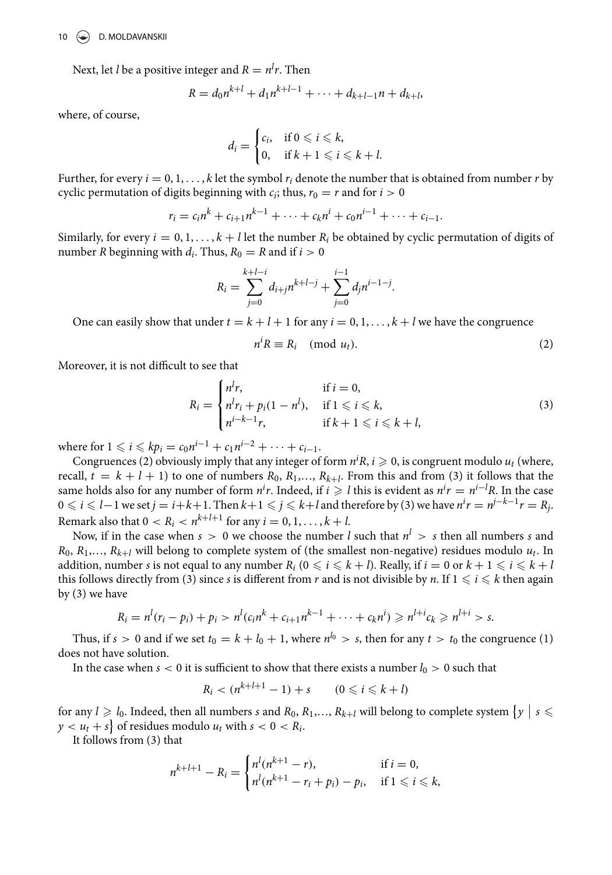Next, let *l* be a positive integer and  $R = n^{l}r$ . Then

$$
R = d_0 n^{k+l} + d_1 n^{k+l-1} + \cdots + d_{k+l-1} n + d_{k+l},
$$

where, of course,

$$
d_i = \begin{cases} c_i, & \text{if } 0 \leq i \leq k, \\ 0, & \text{if } k+1 \leq i \leq k+l. \end{cases}
$$

Further, for every  $i = 0, 1, \ldots, k$  let the symbol  $r_i$  denote the number that is obtained from number r by cyclic permutation of digits beginning with  $c_i$ ; thus,  $r_0 = r$  and for  $i > 0$ 

$$
r_i = c_i n^k + c_{i+1} n^{k-1} + \cdots + c_k n^i + c_0 n^{i-1} + \cdots + c_{i-1}.
$$

Similarly, for every  $i = 0, 1, \ldots, k+l$  let the number  $R_i$  be obtained by cyclic permutation of digits of number R beginning with  $d_i$ . Thus,  $R_0 = R$  and if  $i > 0$ 

$$
R_i = \sum_{j=0}^{k+l-i} d_{i+j} n^{k+l-j} + \sum_{j=0}^{i-1} d_j n^{i-1-j}.
$$

One can easily show that under  $t = k + l + 1$  for any  $i = 0, 1, \ldots, k + l$  we have the congruence

$$
n^i R \equiv R_i \pmod{u_t}.
$$
 (2)

Moreover, it is not difficult to see that

$$
R_i = \begin{cases} n^l r, & \text{if } i = 0, \\ n^l r_i + p_i (1 - n^l), & \text{if } 1 \leq i \leq k, \\ n^{i - k - 1} r, & \text{if } k + 1 \leq i \leq k + l, \end{cases} \tag{3}
$$

where for  $1 \leq i \leq k p_i = c_0 n^{i-1} + c_1 n^{i-2} + \cdots + c_{i-1}.$ 

Congruences (2) obviously imply that any integer of form  $n^iR$ ,  $i \geqslant 0$ , is congruent modulo  $u_t$  (where, recall,  $t = k + l + 1$ ) to one of numbers  $R_0, R_1, \ldots, R_{k+l}$ . From this and from (3) it follows that the same holds also for any number of form  $n^i r$ . Indeed, if  $i \geqslant l$  this is evident as  $n^i r = n^{i-l} R$ . In the case  $0\leqslant i\leqslant l-1$  we set  $j=i+k+1.$  Then  $k+1\leqslant j\leqslant k+l$  and therefore by (3) we have  $n^ir=n^{j-k-1}r=R_j.$ Remark also that  $0 < R_i < n^{k+l+1}$  for any  $i = 0, 1, ..., k+l$ .

Now, if in the case when  $s > 0$  we choose the number l such that  $n^l > s$  then all numbers s and  $R_0, R_1,..., R_{k+l}$  will belong to complete system of (the smallest non-negative) residues modulo  $u_t$ . In addition, number s is not equal to any number  $R_i$  ( $0 \le i \le k + l$ ). Really, if  $i = 0$  or  $k + 1 \le i \le k + l$ this follows directly from (3) since s is different from r and is not divisible by n. If  $1 \leq i \leq k$  then again by (3) we have

$$
R_i = n^l(r_i - p_i) + p_i > n^l(c_i n^k + c_{i+1} n^{k-1} + \cdots + c_k n^i) \geqslant n^{l+i} c_k \geqslant n^{l+i} > s.
$$

Thus, if  $s > 0$  and if we set  $t_0 = k + l_0 + 1$ , where  $n^{l_0} > s$ , then for any  $t > t_0$  the congruence (1) does not have solution.

In the case when  $s < 0$  it is sufficient to show that there exists a number  $l_0 > 0$  such that

$$
R_i < (n^{k+l+1} - 1) + s \qquad (0 \leqslant i \leqslant k + l)
$$

for any  $l \geq l_0$ . Indeed, then all numbers s and  $R_0, R_1, \ldots, R_{k+l}$  will belong to complete system  $\{y \mid s \leq$  $y < u_t + s$  of residues modulo  $u_t$  with  $s < 0 < R_i$ .

It follows from (3) that

$$
n^{k+l+1} - R_i = \begin{cases} n^l (n^{k+1} - r), & \text{if } i = 0, \\ n^l (n^{k+1} - r_i + p_i) - p_i, & \text{if } 1 \leqslant i \leqslant k, \end{cases}
$$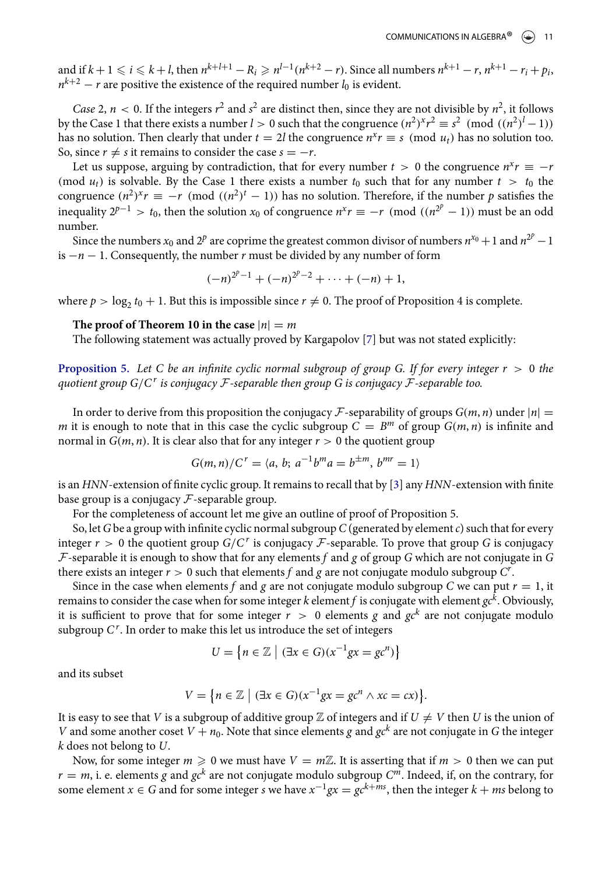and if  $k+1 \leq i \leq k+l$ , then  $n^{k+l+1}-R_i \geq n^{l-1}(n^{k+2}-r)$ . Since all numbers  $n^{k+1}-r$ ,  $n^{k+1}-r_i+p_i$ .  $n^{k+2} - r$  are positive the existence of the required number  $l_0$  is evident.

Case 2,  $n < 0$ . If the integers  $r^2$  and  $s^2$  are distinct then, since they are not divisible by  $n^2$ , it follows by the Case 1 that there exists a number  $l > 0$  such that the congruence  $(n^2)^x r^2 \equiv s^2 \pmod{(n^2)^l - 1}$ has no solution. Then clearly that under  $t = 2l$  the congruence  $n^x r \equiv s \pmod{u_t}$  has no solution too. So, since  $r \neq s$  it remains to consider the case  $s = -r$ .

Let us suppose, arguing by contradiction, that for every number  $t > 0$  the congruence  $n^x r \equiv -r^y r^y$ (mod  $u_t$ ) is solvable. By the Case 1 there exists a number  $t_0$  such that for any number  $t > t_0$  the congruence  $(n^2)^x r \equiv -r \pmod{((n^2)^t - 1)}$  has no solution. Therefore, if the number p satisfies the inequality  $2^{p-1} > t_0$ , then the solution  $x_0$  of congruence  $n^x r \equiv -r \pmod{(n^{2^p} - 1)}$  must be an odd number.

Since the numbers  $x_0$  and  $2^p$  are coprime the greatest common divisor of numbers  $n^{x_0} + 1$  and  $n^{2^p} - 1$ is  $-n-1$ . Consequently, the number r must be divided by any number of form

$$
(-n)^{2^p-1}+(-n)^{2^p-2}+\cdots+(-n)+1,
$$

where  $p > \log_2 t_0 + 1$ . But this is impossible since  $r \neq 0$ . The proof of Proposition 4 is complete.

#### The proof of Theorem 10 in the case  $|n| = m$

The following statement was actually proved by Kargapolov [\[7\]](#page-12-5) but was not stated explicitly:

**Proposition 5.** Let C be an infinite cyclic normal subgroup of group G. If for every integer  $r > 0$  the quotient group  $G/C^r$  is conjugacy  ${\mathcal F}$ -separable then group  $G$  is conjugacy  ${\mathcal F}$ -separable too.

In order to derive from this proposition the conjugacy F-separability of groups  $G(m, n)$  under  $|n| =$ m it is enough to note that in this case the cyclic subgroup  $C = B^m$  of group  $G(m, n)$  is infinite and normal in  $G(m, n)$ . It is clear also that for any integer  $r > 0$  the quotient group

$$
G(m, n)/C^r = \langle a, b; a^{-1}b^m a = b^{\pm m}, b^{mr} = 1 \rangle
$$

is an HNN-extension of finite cyclic group. It remains to recall that by [\[3\]](#page-12-4) any HNN-extension with finite base group is a conjugacy  $\mathcal F$ -separable group.

For the completeness of account let me give an outline of proof of Proposition 5.

So, let  $G$  be a group with infinite cyclic normal subgroup  $C$  (generated by element  $c$ ) such that for every integer  $r > 0$  the quotient group  $G/C^r$  is conjugacy  $\mathcal F$ -separable. To prove that group G is conjugacy  $F$ -separable it is enough to show that for any elements f and g of group G which are not conjugate in G there exists an integer  $r > 0$  such that elements f and g are not conjugate modulo subgroup  $C^r$ .

Since in the case when elements f and g are not conjugate modulo subgroup C we can put  $r = 1$ , it remains to consider the case when for some integer  $k$  element  $f$  is conjugate with element  $\mathit{gc}^k$ . Obviously, it is sufficient to prove that for some integer  $r > 0$  elements g and  $gc^{k}$  are not conjugate modulo subgroup  $C^r$ . In order to make this let us introduce the set of integers

$$
U = \left\{ n \in \mathbb{Z} \mid (\exists x \in G)(x^{-1}gx = gc^n) \right\}
$$

and its subset

$$
V = \{ n \in \mathbb{Z} \mid (\exists x \in G)(x^{-1}gx = gc^n \land xc = cx) \}.
$$

It is easy to see that V is a subgroup of additive group  $\mathbb Z$  of integers and if  $U \neq V$  then U is the union of V and some another coset  $V + n_0$ . Note that since elements g and  $gc^k$  are not conjugate in G the integer k does not belong to U.

Now, for some integer  $m \geq 0$  we must have  $V = m\mathbb{Z}$ . It is asserting that if  $m > 0$  then we can put  $r=m$ , i. e. elements g and  $gc^{k}$  are not conjugate modulo subgroup  $C^{m}.$  Indeed, if, on the contrary, for some element  $x \in G$  and for some integer  $s$  we have  $x^{-1}gx = gc^{k+ms}$ , then the integer  $k + ms$  belong to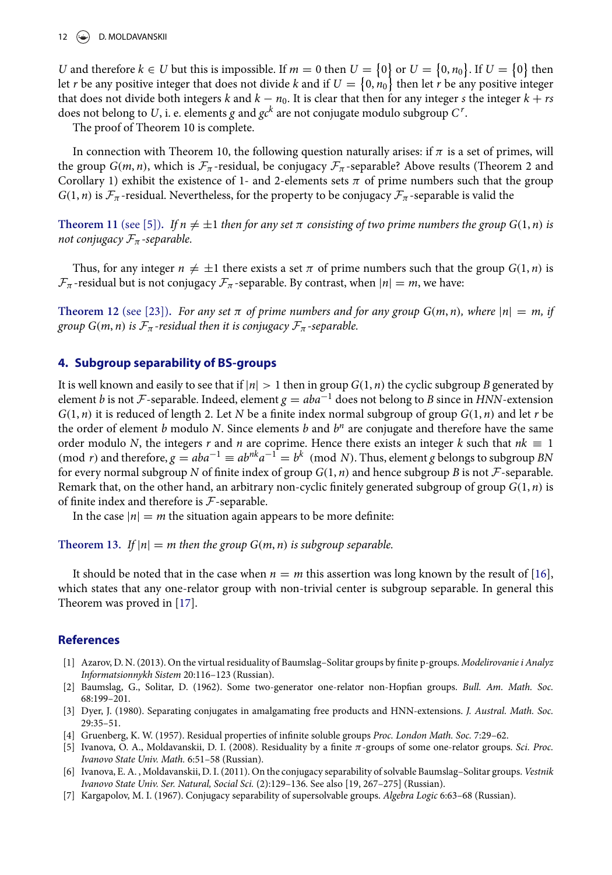#### 12 (See D. MOLDAVANSKII

U and therefore  $k \in U$  but this is impossible. If  $m = 0$  then  $U = \{0\}$  or  $U = \{0, n_0\}$ . If  $U = \{0\}$  then let  $r$  be any positive integer that does not divide  $k$  and if  $U=\{0,n_0\}$  then let  $r$  be any positive integer that does not divide both integers k and  $k - n_0$ . It is clear that then for any integer s the integer  $k + rs$ does not belong to  $U$ , i. e. elements  $g$  and  $g c^k$  are not conjugate modulo subgroup  $C^{\, r}.$ 

The proof of Theorem 10 is complete.

In connection with Theorem 10, the following question naturally arises: if  $\pi$  is a set of primes, will the group  $G(m, n)$ , which is  $\mathcal{F}_{\pi}$ -residual, be conjugacy  $\mathcal{F}_{\pi}$ -separable? Above results (Theorem 2 and Corollary 1) exhibit the existence of 1- and 2-elements sets  $\pi$  of prime numbers such that the group  $G(1, n)$  is  $\mathcal{F}_{\pi}$ -residual. Nevertheless, for the property to be conjugacy  $\mathcal{F}_{\pi}$ -separable is valid the

**Theorem 11** (see [\[5\]](#page-12-6)). If  $n \neq \pm 1$  then for any set  $\pi$  consisting of two prime numbers the group  $G(1, n)$  is not conjugacy  $\mathcal{F}_{\pi}$ -separable.

Thus, for any integer  $n \neq \pm 1$  there exists a set  $\pi$  of prime numbers such that the group  $G(1, n)$  is  $\mathcal{F}_{\pi}$ -residual but is not conjugacy  $\mathcal{F}_{\pi}$ -separable. By contrast, when  $|n| = m$ , we have:

**Theorem 12** (see [\[23\]](#page-13-8)). For any set  $\pi$  of prime numbers and for any group  $G(m, n)$ , where  $|n| = m$ , if group  $G(m, n)$  is  $\mathcal{F}_{\pi}$ -residual then it is conjugacy  $\mathcal{F}_{\pi}$ -separable.

#### **4. Subgroup separability of BS-groups**

It is well known and easily to see that if  $|n| > 1$  then in group  $G(1, n)$  the cyclic subgroup B generated by element b is not F-separable. Indeed, element  $g = aba^{-1}$  does not belong to B since in HNN-extension  $G(1, n)$  it is reduced of length 2. Let N be a finite index normal subgroup of group  $G(1, n)$  and let r be the order of element b modulo N. Since elements b and  $b<sup>n</sup>$  are conjugate and therefore have the same order modulo N, the integers r and n are coprime. Hence there exists an integer k such that  $nk \equiv 1$ (mod r) and therefore,  $g = aba^{-1} \equiv ab^{nk}a^{-1} = b^k \pmod{N}$ . Thus, element g belongs to subgroup BN for every normal subgroup N of finite index of group  $G(1, n)$  and hence subgroup B is not  $\mathcal F$ -separable. Remark that, on the other hand, an arbitrary non-cyclic finitely generated subgroup of group  $G(1,n)$  is of finite index and therefore is  $\mathcal F$ -separable.

In the case  $|n| = m$  the situation again appears to be more definite:

**Theorem 13.** If  $|n| = m$  then the group  $G(m, n)$  is subgroup separable.

It should be noted that in the case when  $n = m$  this assertion was long known by the result of [\[16\]](#page-13-14), which states that any one-relator group with non-trivial center is subgroup separable. In general this Theorem was proved in [\[17\]](#page-13-15).

#### **References**

- <span id="page-12-3"></span>[1] Azarov, D. N. (2013). On the virtual residuality of Baumslag–Solitar groups by finite p-groups. Modelirovanie i Analyz Informatsionnykh Sistem 20:116–123 (Russian).
- <span id="page-12-0"></span>[2] Baumslag, G., Solitar, D. (1962). Some two-generator one-relator non-Hopfian groups. *Bull. Am. Math. Soc.* 68:199–201.
- <span id="page-12-4"></span>[3] Dyer, J. (1980). Separating conjugates in amalgamating free products and HNN-extensions. J. Austral. Math. Soc. 29:35–51.
- <span id="page-12-1"></span>[4] Gruenberg, K. W. (1957). Residual properties of infinite soluble groups Proc. London Math. Soc. 7:29-62.
- <span id="page-12-6"></span>[5] Ivanova, O. A., Moldavanskii, D. I. (2008). Residuality by a finite  $\pi$ -groups of some one-relator groups. Sci. Proc. Ivanovo State Univ. Math. 6:51–58 (Russian).
- <span id="page-12-2"></span>[6] Ivanova, E. A. , Moldavanskii, D. I. (2011). On the conjugacy separability of solvable Baumslag–Solitar groups. Vestnik Ivanovo State Univ. Ser. Natural, Social Sci. (2):129–136. See also [19, 267–275] (Russian).
- <span id="page-12-5"></span>[7] Kargapolov, M. I. (1967). Conjugacy separability of supersolvable groups. Algebra Logic 6:63-68 (Russian).